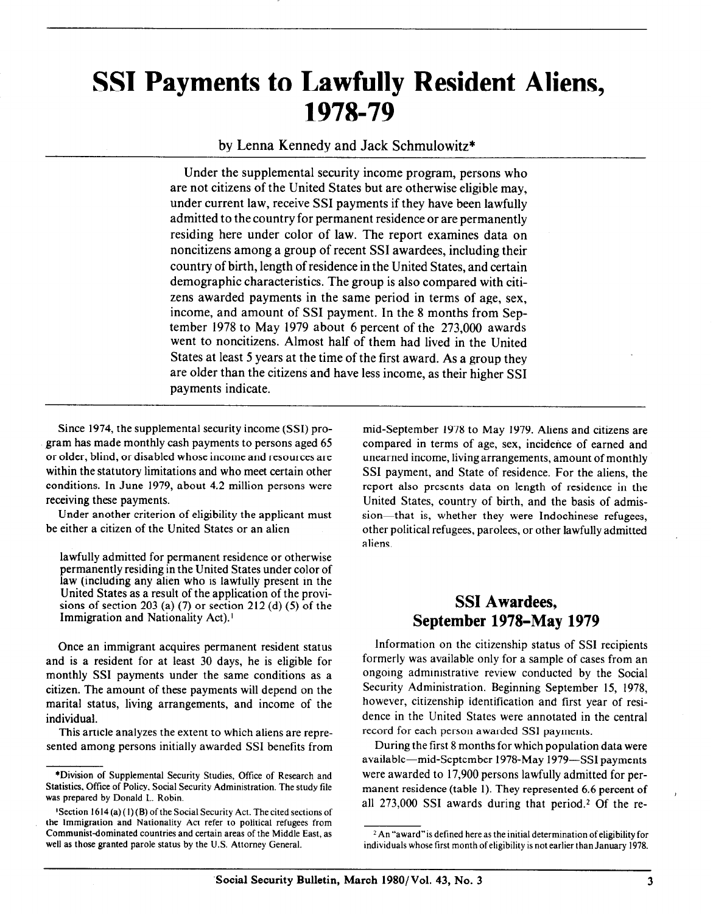# SSI Payments to Lawfully Resident Aliens, 1978-79

by Lenna Kennedy and Jack Schmulowitz\*

Under the supplemental security income program, persons who are not citizens of the United States but are otherwise eligible may, under current law, receive SSI payments if they have been lawfully admitted to the country for permanent residence or are permanently residing here under color of law. The report examines data on noncitizens among a group of recent SSI awardees, including their country of birth, length of residence in the United States, and certain demographic characteristics. The group is also compared with citizens awarded payments in the same period in terms of age, sex, income, and amount of SSI payment. In the 8 months from September 1978 to May 1979 about 6 percent of the 273,000 awards went to noncitizens. Almost half of them had lived in the United States at least 5 years at the time of the first award. As a group they are older than the citizens and have less income, as their higher SSI payments indicate.

Since 1974, the supplemental security income (SSI) program has made monthly cash payments to persons aged 65 or older, blind, or disabled whose income and resources are within the statutory limitations and who meet certain other conditions. In June 1979, about 4.2 million persons were receiving these payments.

Under another criterion of eligibility the applicant must be either a citizen of the United States or an alien

lawfully admitted for permanent residence or otherwise permanently residing in the United States under color of law (including any alien who is lawfully present in the United States as a result of the application of the provisions of section 203 (a)  $(7)$  or section 212 (d)  $(5)$  of the Immigration and Nationality Act).'

Once an immigrant acquires permanent resident status and is a resident for at least 30 days, he is eligible for monthly SSI payments under the same conditions as a citizen. The amount of these payments will depend on the marital status, living arrangements, and income of the individual.

This article analyzes the extent to which aliens are represented among persons initially awarded SSI benefits from

mid-September 1978 to May 1979. Aliens and citizens are compared in terms of age, sex, incidence of earned and unearned income, living arrangements, amount of monthly SSI payment, and State of residence. For the aliens, the report also presents data on length of residence in the United States, country of birth, and the basis of admission-that is, whether they were Indochinese refugees, other political refugees, parolees, or other lawfully admitted aliens.

# SSI Awardees, September 1978–May 1979

Information on the citizenship status of SSI recipients formerly was available only for a sample of cases from an ongoing administrative review conducted by the Social Security Administration. Beginning September 15, 1978, however, citizenship identification and first year of residence in the United States were annotated in the central record for each person awarded SSI payments.

During the first 8 months for which population data were available-mid-September 1978-May 1979-SSI payments were awarded to 17,900 persons lawfully admitted for permanent residence (table 1). They represented 6.6 percent of all  $273,000$  SSI awards during that period.<sup>2</sup> Of the re-

<sup>\*</sup>Division of Supplemental Security Studies, Office of Research and Statistics, Office of Policy, Social Security Administration. The study file was prepared by Donald L. Robin.

<sup>&#</sup>x27;Section 1614 (a) (I)(B) of the Social Security Act. The cited sections of the Immigration and Nationality Act refer to political refugees from Communist-dominated countries and certain areas of the Middle East, as well as those granted parole status by the U.S. Attorney General.

<sup>&</sup>lt;sup>2</sup> An "award" is defined here as the initial determination of eligibility for individuals whose first month of eligibility is not earlier than January 1978.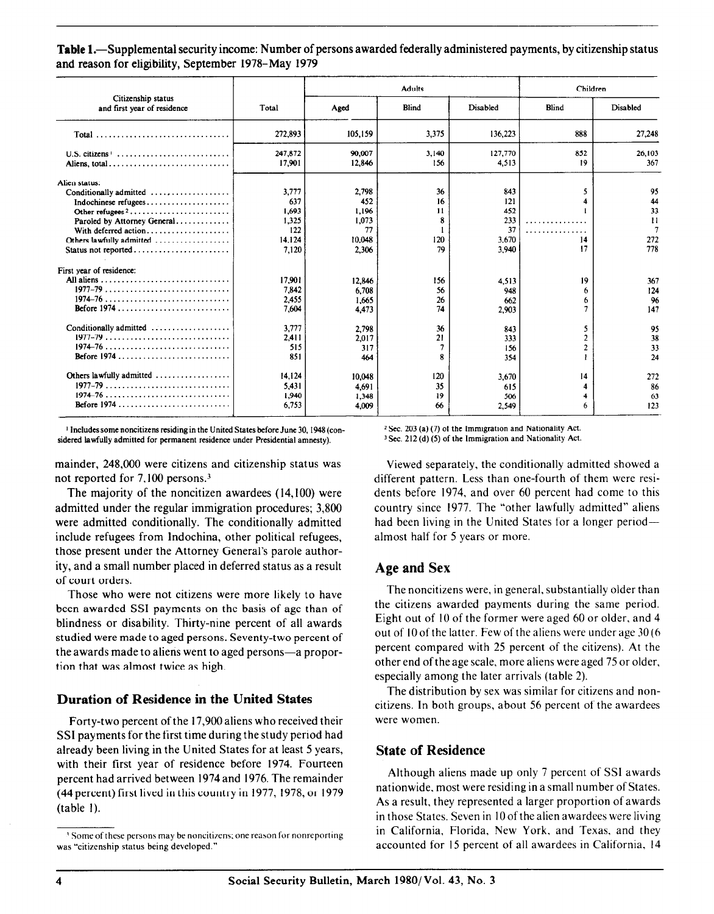Table 1.—Supplemental security income: Number of persons awarded federally administered payments, by citizenship status and reason for eligibility, September 1978-May 1979

|                                                                                                                                                   |                                                          |                                                         | <b>Adults</b>                    | Children                                         |                                       |                                        |
|---------------------------------------------------------------------------------------------------------------------------------------------------|----------------------------------------------------------|---------------------------------------------------------|----------------------------------|--------------------------------------------------|---------------------------------------|----------------------------------------|
| Citizenship status<br>and first year of residence                                                                                                 | Total                                                    | Aged                                                    | <b>Blind</b>                     | Disabled                                         | Blind                                 | Disabled                               |
|                                                                                                                                                   | 272.893                                                  | 105,159                                                 | 3,375                            | 136,223                                          | 888                                   | 27,248                                 |
| U.S. citizens <sup>1</sup><br>Aliens. total                                                                                                       | 247,872<br>17.901                                        | 90.007<br>12.846                                        | 3.140<br>156                     | 127,770<br>4,513                                 | 852<br>19                             | 26,103<br>367                          |
| Alien status:<br>Conditionally admitted<br>Indochinese refugees<br>Paroled by Attorney General<br>Others lawfully admitted<br>Status not reported | 3.777<br>637<br>1.693<br>1.325<br>122<br>14,124<br>7.120 | 2,798<br>452<br>1.196<br>1.073<br>77<br>10,048<br>2,306 | 36<br>16<br>11<br>8<br>120<br>79 | 843<br>121<br>452<br>233<br>37<br>3,670<br>3.940 | 5<br>.<br>.<br>14<br>17               | 95<br>44<br>33<br>Ħ<br>7<br>272<br>778 |
| First year of residence:<br>All aliens<br>$1977-79$<br>$1974 - 76$<br>Before $1974$ ,                                                             | 17.901<br>7,842<br>2.455<br>7.604                        | 12.846<br>6.708<br>1,665<br>4.473                       | 156<br>56<br>26<br>74            | 4,513<br>948<br>662<br>2.903                     | 19<br>6<br>6                          | 367<br>124<br>96<br>147                |
| Conditionally admitted<br>$1977-79$<br>$1974 - 76$                                                                                                | 3.777<br>2.411<br>515<br>851                             | 2,798<br>2.017<br>317<br>464                            | 36<br>21<br>7<br>R               | 843<br>333<br>156<br>354                         | 5<br>$\overline{c}$<br>$\overline{c}$ | 95<br>38<br>33<br>24                   |
| Others lawfully admitted<br>$1974 - 76$                                                                                                           | 14.124<br>5.431<br>1.940<br>6,753                        | 10,048<br>4.691<br>1.348<br>4,009                       | 120<br>35<br>19<br>66            | 3,670<br>615<br>506<br>2,549                     | 14<br>6                               | 272<br>86<br>63<br>123                 |

1 Includessome noncitizens residing in the United States before June 30, 1948 (con- 2 Sec. 203 (a) (7) of the Immigration and Nationality Act. sidered lawfully admitted for permanent residence under Presidential amnesty). 3 Sec. 212 (d) (5) of the Immigration and Nationality Act.

mainder, 248,000 were citizens and citizenship status was not reported for 7,100 persons.3

The majority of the noncitizen awardees (14,100) were admitted under the regular immigration procedures; 3,800 were admitted conditionally. The conditionally admitted include refugees from Indochina, other political refugees, those present under the Attorney General's parole authority, and a small number placed in deferred status as a result of court orders.

Those who were not citizens were more likely to have been awarded SSI payments on the basis of age than of blindness or disability. Thirty-nine percent of all awards studied were made to aged persons. Seventy-two percent of the awards made to aliens went to aged persons-a proportion that was almost twice as high.

## Duration of Residence in the United States

Forty-two percent of the 17,900 aliens who received their SSl payments for the first time during the study period had already been living in the United States for at least 5 years, with their first year of residence before 1974. Fourteen percent had arrived between 1974 and 1976. The remainder (44 percent) first lived in this country in 1977, 1978, or I979 (table I).

Viewed separately, the conditionally admitted showed a different pattern. Less than one-fourth of them were residents before 1974, and over 60 percent had come to this country since 1977. The "other lawfully admitted" aliens had been living in the United States for a longer periodalmost half for 5 years or more.

#### Age and Sex

The noncitizens were, in general, substantially older than the citizens awarded payments during the same period. Eight out of IO of the former were aged 60 or older, and 4 out of IO of the latter. Few of the aliens were under age 30 (6 percent compared with 25 percent of the citizens). At the other end of the age scale, more aliens were aged 75 or older, especially among the later arrivals (table 2).

The distribution by sex was similar for citizens and noncitizens. In both groups, about 56 percent of the awardees were women.

#### State of Residence

Although aliens made up only 7 percent of SSI awards nationwide, most were residing in a small number of States. As a result, they represented a larger proportion of awards in those States. Seven in IO of the alien awardees were living in California, Florida, New York, and Texas, and they accounted for 15 percent of all awardees in California, 14

<sup>&</sup>lt;sup>3</sup> Some of these persons may be noncitizens; one reason for nonreporting was "citizenship status being developed."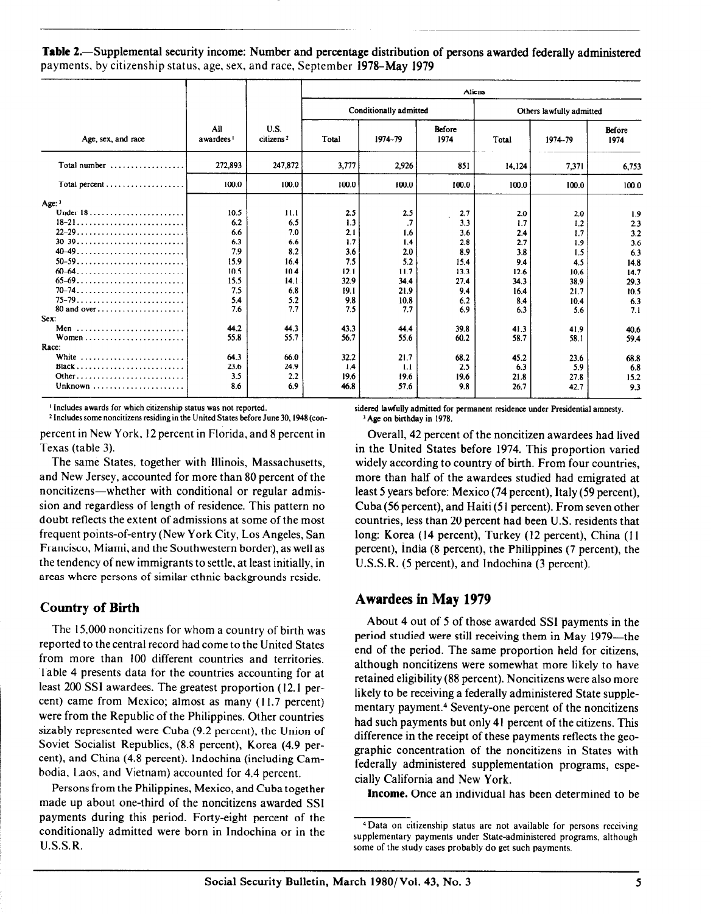Table 2.—Supplemental security income: Number and percentage distribution of persons awarded federally administered payments. by citizenship status, age, sex, and race, September 1978-May 1979

|                                                    |                              |                               | Aliens |                        |                |                          |         |                |  |
|----------------------------------------------------|------------------------------|-------------------------------|--------|------------------------|----------------|--------------------------|---------|----------------|--|
|                                                    |                              |                               |        | Conditionally admitted |                | Others lawfully admitted |         |                |  |
| Age, sex, and race                                 | All<br>awardees <sup>1</sup> | U.S.<br>citizens <sup>2</sup> | Total  | 1974-79                | Before<br>1974 | Total                    | 1974-79 | Before<br>1974 |  |
| Total number $\ldots$ , , , ,                      | 272,893                      | 247,872                       | 3,777  | 2,926                  | 851            | 14,124                   | 7,371   | 6,753          |  |
| Total percent $\ldots \ldots \ldots \ldots \ldots$ | 100.0                        | 100.0                         | 100.0  | 100.0                  | 100.0          | 100.0                    | 100.0   | 100.0          |  |
| $Age:$ <sup>3</sup>                                |                              |                               |        |                        |                |                          |         |                |  |
| Under $18$                                         | 10.5                         | 11.1                          | 2.5    | 2.5                    | 2.7            | 2.0                      | 2.0     | 1.9            |  |
|                                                    | 62                           | 6.5                           | 1.3    | .7                     | 3.3            | 1.7                      | 1.2     | 2.3            |  |
| $22-29$                                            | 6.6                          | 7.0                           | 2.1    | 1.6                    | 3.6            | 2.4                      | 1.7     | 3.2            |  |
| $30 - 39 - 11$                                     | 6.3                          | 6.6                           | 1.7    | 1.4                    | 2.8            | 2.7                      | 19      | 3.6            |  |
|                                                    | 7.9                          | 8.2                           | 3.6    | 2.0                    | 8.9            | 3.8                      | 1.5     | 6.3            |  |
|                                                    | 15.9                         | 16.4                          | 7.5    | 5.2                    | 15.4           | 9.4                      | 4.5     | 14.8           |  |
| $60 - 64$                                          | 10.5                         | 10.4                          | 12.1   | 11.7                   | 13.3           | 12.6                     | 10.6    | 14.7           |  |
|                                                    | 15.5                         | 14.1                          | 32.9   | 34.4                   | 27.4           | 34.3                     | 38.9    | 29.3           |  |
|                                                    | 7.5                          | 6.8                           | 19.1   | 21.9                   | 9.4            | 16.4                     | 21.7    | 10.5           |  |
|                                                    | 5.4                          | 5.2                           | 9.8    | 10.8                   | 6.2            | 8.4                      | 10.4    | 6.3            |  |
| 80 and over                                        | 7.6                          | 7.7                           | 7.5    | 7.7                    | 6.9            | 6.3                      | 5.6     | 7.1            |  |
| Sex:                                               |                              |                               |        |                        |                |                          |         |                |  |
| Men                                                | 44.2                         | 44.3                          | 43.3   | 44.4                   | 39.8           | 41.3                     | 41.9    | 40.6           |  |
|                                                    | 55.8                         | 557                           | 56.7   | 55.6                   | 60.2           | 58.7                     | 58.1    | 59.4           |  |
| Race:                                              |                              |                               |        |                        |                |                          |         |                |  |
| White                                              | 64.3                         | 66.0                          | 32.2   | 21.7                   | 68.2           | 452                      | 23.6    | 68.8           |  |
|                                                    | 23.6                         | 24.9                          | 1.4    | 1.1                    | 2.5            | 6.3                      | 5.9     | 6.8            |  |
| Other                                              | 3.5                          | 2.2                           | 19.6   | 19.6                   | 19.6           | 21.8                     | 27.8    | 15.2           |  |
|                                                    | 8.6                          | 6.9                           | 46.8   | 57.6                   | 9.8            | 26.7                     | 42.7    | 9.3            |  |

t Includes awards for which citizenship status was not reported.

2 Includes some noncitizens residing in the United States before June 30,1948 (conpercent in New York, I2 percent in Florida, and 8 percent in Texas (table 3).

The same States, together with Illinois, Massachusetts, and New Jersey, accounted for more than 80 percent of the noncitizens-whether with conditional or regular admission and regardless of length of residence. This pattern no doubt reflects the extent of admissions at some of the most frequent points-of-entry (New York City, Los Angeles, San Francisco, Miami, and the Southwestern border), as well as the tendency of new immigrants to settle, at least initially, in areas where persons of similar ethnic backgrounds reside.

## Country of Birth

The 15,000 noncitizens for whom a country of birth was reported to the central record had come to the United States from more than 100 different countries and territories. Table 4 presents data for the countries accounting for at least 200 SSI awardees. The greatest proportion ( 12.1 percent) came from Mexico; almost as many (11.7 percent) were from the Republic of the Philippines. Other countries sizably represented were Cuba (9.2 percent), the Union of Soviet Socialist Republics, (8.8 percent), Korea (4.9 percent), and China (4.8 percent). Indochina (including Cambodia, Laos, and Vietnam) accounted for 4.4 percent.

Persons from the Philippines, Mexico, and Cuba together made up about one-third of the noncitizens awarded SSI payments during this period. Forty-eight percent of the conditionally admitted were born in Indochina or in the U.S.S.R.

sidered lawfully admitted for permanent residence under Presidential amnesty. 3 Age on birthday in 1978.

Overall, 42 percent of the noncitizen awardees had lived in the United States before 1974. This proportion varied widely according to country of birth. From four countries, more than half of the awardees studied had emigrated at least 5 years before: Mexico (74 percent), Italy (59 percent), Cuba (56 percent), and Haiti (5 1 percent). From seven other countries, less than 20 percent had been U.S. residents that long: Korea (14 percent), Turkey (12 percent), China (11 percent), India (8 percent), the Philippines (7 percent), the U.S.S.R. (5 percent), and Indochina (3 percent).

#### Awardees in May 1979

About 4 out of 5 of those awarded SSl payments in the period studied were still receiving them in May 1979-the end of the period. The same proportion held for citizens, although noncitizens were somewhat more likely to have retained eligibility (88 percent). Noncitizens were also more likely to be receiving a federally administered State supplementary payment.4 Seventy-one percent of the noncitizens had such payments but only 41 percent of the citizens. This difference in the receipt of these payments reflects the geographic concentration of the noncitizens in States with federally administered supplementation programs, especially California and New York.

Income. Once an individual has been determined to be

<sup>4</sup>Data on citizenship status are not available for persons receiving supplementary payments under State-administered programs, although some of the study cases probably do get such payments.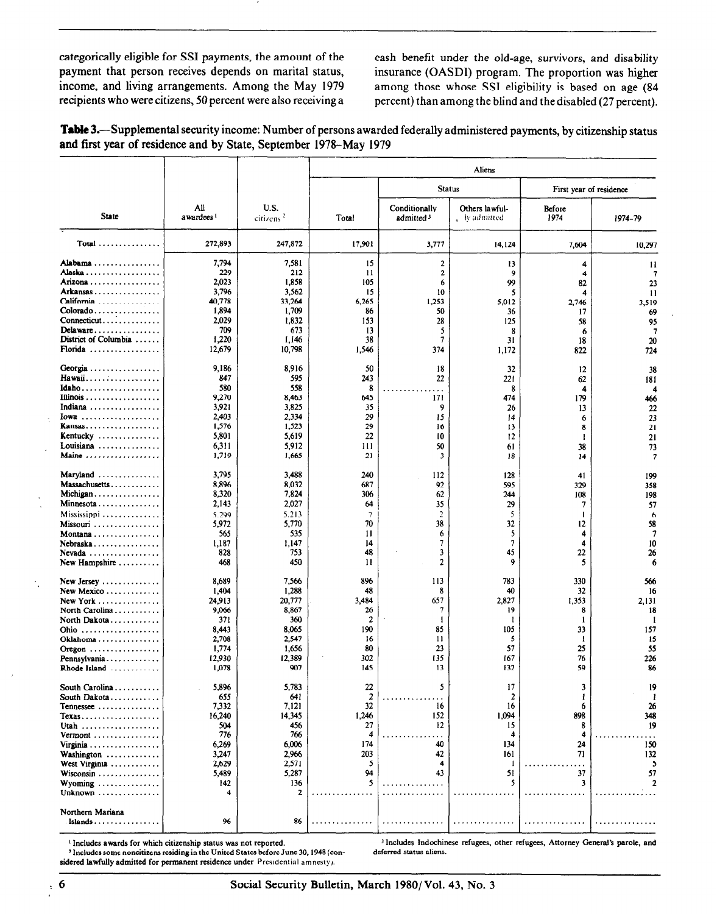categorically eligible for SSI payments, the amount of the cash benefit under the old-age, survivors, and disability payment that person receives depends on marital status, insurance (OASDI) program. The proportion was higher income, and living arrangements. Among the May 1979 among those whose SSI eligibility is based on age (84

recipients who were citizens, 50 percent were also receiving a percent) than among the blind and the disabled (27 percent).

| Table 3.—Supplemental security income: Number of persons awarded federally administered payments, by citizenship status |  |
|-------------------------------------------------------------------------------------------------------------------------|--|
| and first year of residence and by State, September 1978–May 1979                                                       |  |

|                                                   |                              |                              | Aliens         |                                        |                                      |                |                          |  |  |  |
|---------------------------------------------------|------------------------------|------------------------------|----------------|----------------------------------------|--------------------------------------|----------------|--------------------------|--|--|--|
|                                                   |                              |                              |                | <b>Status</b>                          |                                      |                | First year of residence  |  |  |  |
| State                                             | All<br>awardees <sup>1</sup> | U.S.<br>citicns <sup>2</sup> | Total          | Conditionally<br>admitted <sup>3</sup> | Others lawful-<br>$\Box$ by admitted | Before<br>1974 | 1974-79                  |  |  |  |
| $Total$                                           | 272,893                      | 247,872                      | 17,901         | 3,777                                  | 14,124                               | 7,604          | 10,297                   |  |  |  |
| Alabama                                           | 7,794                        | 7,581                        | 15             | $\mathbf{2}$                           | 13                                   | 4              | 11                       |  |  |  |
| Alaska                                            | 229                          | 212                          | 11             | 2                                      | 9                                    | 4              | 7                        |  |  |  |
| Arizona<br>Arkansas                               | 2,023                        | 1,858                        | 105            | 6                                      | 99                                   | 82             | 23                       |  |  |  |
| California                                        | 3,796<br>40,778              | 3,562<br>33,264              | 15<br>6,265    | 10<br>1,253                            | 5<br>5,012                           | 4<br>2,746     | 11                       |  |  |  |
| Colorado                                          | 1,894                        | 1,709                        | 86             | 50                                     | 36                                   | 17             | 3.519<br>69              |  |  |  |
| Connecticut                                       | 2,029                        | 1,832                        | 153            | 28                                     | 125                                  | 58             | 95                       |  |  |  |
| Delaw are                                         | 709                          | 673                          | 13             | 5                                      | 8                                    | 6              | $\overline{7}$           |  |  |  |
| District of Columbia                              | 1,220                        | I, 146                       | 38             | 7                                      | 31                                   | 18             | 20                       |  |  |  |
| Florida                                           | 12,679                       | 10,798                       | 1,546          | 374                                    | 1,172                                | 822            | 724                      |  |  |  |
| Georgia                                           | 9,186                        | 8,916                        | 50             | 18                                     | 32                                   | 12             | 38                       |  |  |  |
| Hawaii                                            | 847                          | 595                          | 243            | 22                                     | 221                                  | 62             | 181                      |  |  |  |
| Idaho                                             | 580                          | 558                          | 8              |                                        | 8                                    | 4              | 4                        |  |  |  |
|                                                   | 9,270                        | 8,463                        | 645            | 171                                    | 474                                  | 179            | 466                      |  |  |  |
| Indiana                                           | 3,921                        | 3,825                        | 35             | 9                                      | 26                                   | 13             | 22                       |  |  |  |
| Iowa<br><b>Kansas</b>                             | 2,403<br>1,576               | 2,334<br>1,523               | 29<br>29       | 15<br>16                               | 14<br>13                             | 6              | 23                       |  |  |  |
| Kentucky                                          | 5,801                        | 5,619                        | 22             | 10                                     | 12                                   | 8<br>1         | 21<br>21                 |  |  |  |
| Louisiana                                         | 6,311                        | 5,912                        | 111            | 50                                     | 61                                   | 38             | 73                       |  |  |  |
| Maine                                             | 1,719                        | 1,665                        | 21             | 3                                      | 18                                   | 14             | $\overline{\phantom{a}}$ |  |  |  |
| Maryland                                          | 3,795                        | 3,488                        | 240            | 112                                    | 128                                  | 41             | 199                      |  |  |  |
| Massachusetts                                     | 8,896                        | 8,032                        | 687            | 92                                     | 595                                  | 329            | 358                      |  |  |  |
| Michigan                                          | 8,320                        | 7,824                        | 306            | 62                                     | 244                                  | 108            | 198                      |  |  |  |
| $Minnessota \ldots \ldots \ldots \ldots$          | 2,143                        | 2,027                        | 64             | 35                                     | 29                                   | 7              | 57                       |  |  |  |
| $M$ ississippi $\ldots \ldots \ldots \ldots$      | 5.299                        | 5,213                        | $\overline{7}$ | $\overline{2}$                         | 5                                    | $\mathbf{I}$   | 6                        |  |  |  |
| Missouri                                          | 5,972                        | 5,770<br>535                 | 70<br>11       | 38<br>6                                | 32<br>5                              | 12             | 58<br>7                  |  |  |  |
| Montana<br>$Nebraska \ldots \ldots \ldots$        | 565<br>1,187                 | 1.147                        | 14             | 7                                      | 7                                    | 4<br>4         | 10                       |  |  |  |
| $Nevada \ldots \ldots \ldots \ldots \ldots$       | 828                          | 753                          | 48             | 3                                      | 45                                   | 22             | 26                       |  |  |  |
| New Hampshire                                     | 468                          | 450                          | 11             | 2                                      | 9                                    | 5              | 6                        |  |  |  |
| $New Jersey \dots \dots \dots \dots$              | 8,689                        | 7,566                        | 896            | 113                                    | 783                                  | 330            | 566                      |  |  |  |
| New Mexico $\dots\dots\dots\dots\dots$            | 1,404                        | 1,288                        | 48             | 8                                      | 40                                   | 32             | 16                       |  |  |  |
| New York                                          | 24,913                       | 20,777                       | 3,484          | 657                                    | 2,827                                | 1,353          | 2,131                    |  |  |  |
| North Carolina                                    | 9,066                        | 8,867<br>360                 | 26<br>2        | 7                                      | 19                                   | 8<br>1         | 18                       |  |  |  |
| North Dakota<br>Ohio                              | 371<br>8,443                 | 8,065                        | 190            | 1<br>85                                | -1<br>105                            | 33             | -1<br>157                |  |  |  |
| Oklahoma                                          | 2,708                        | 2,547                        | 16             | 11                                     | 5                                    | -1             | 15                       |  |  |  |
| Oregon                                            | 1,774                        | 1,656                        | 80             | 23                                     | 57                                   | 25             | 55                       |  |  |  |
| Pennsylvania                                      | 12,930                       | 12,389                       | 302            | 135                                    | 167                                  | 76             | 226                      |  |  |  |
| Rhode Island                                      | 1,078                        | 907                          | 145            | 13                                     | 132                                  | 59             | 86                       |  |  |  |
| South Carolina                                    | 5,896                        | 5,783                        | 22             | 5                                      | 17                                   | 3              | 19                       |  |  |  |
| South Dakota                                      | 633                          | 041                          |                |                                        | z                                    |                | - 1                      |  |  |  |
| Tennessee                                         | 7,332                        | 7,121                        | 32             | 16                                     | 16                                   | 6              | 26                       |  |  |  |
| $Texus \ldots \ldots \ldots \ldots \ldots \ldots$ | 16,240                       | 14,345                       | 1,246          | 152                                    | 1,094                                | 898            | 348                      |  |  |  |
| Utah<br>Vermont                                   | 504<br>776                   | 456<br>766                   | 27<br>4        | 12                                     | 15<br>4                              | 8<br>4         | 19                       |  |  |  |
| Virginia                                          | 6,269                        | 6,006                        | 174            | 40                                     | 134                                  | 24             | 150                      |  |  |  |
| Washington                                        | 3,247                        | 2,966                        | 203            | 42                                     | 161                                  | 71             | 132                      |  |  |  |
| West Virginia                                     | 2,629                        | 2,571                        | 5              | 4                                      | $\mathbf{I}$                         |                | $\mathbf{S}$             |  |  |  |
| Wisconsin                                         | 5,489                        | 5,287                        | 94             | 43                                     | 51                                   | 37             | 57                       |  |  |  |
| Wyoming                                           | 142                          | 136                          | 5              |                                        | 5                                    | 3              | $\mathbf{2}$             |  |  |  |
| Unknown                                           | 4                            | 2                            |                |                                        |                                      |                |                          |  |  |  |
| Northern Mariana<br>Islands                       | 96                           | 86                           |                |                                        |                                      |                |                          |  |  |  |

<sup>1</sup> Includes awards for which citizenship status was not reported.

<sup>2</sup> Includes some noncitizens residing in the United States before June 30, 1948 (considered lawfully admitted for permanent residence under Presidential amnesty).

1 Includes awards for which citizenship status was not reported. 3 Includes Indochinese refugees, other refugees, Attorney General's parole, and  $\frac{3 \text{ Inc} \cdot \text{ Inc} \cdot \text{ Inc} \cdot \text{ Inc} \cdot \text{ Inc} \cdot \text{ Inc} \cdot \text{ Inc} \cdot \text{ Inc} \cdot \text{ Inc} \cdot \text{ Inc} \cdot \text$ deferred status aliens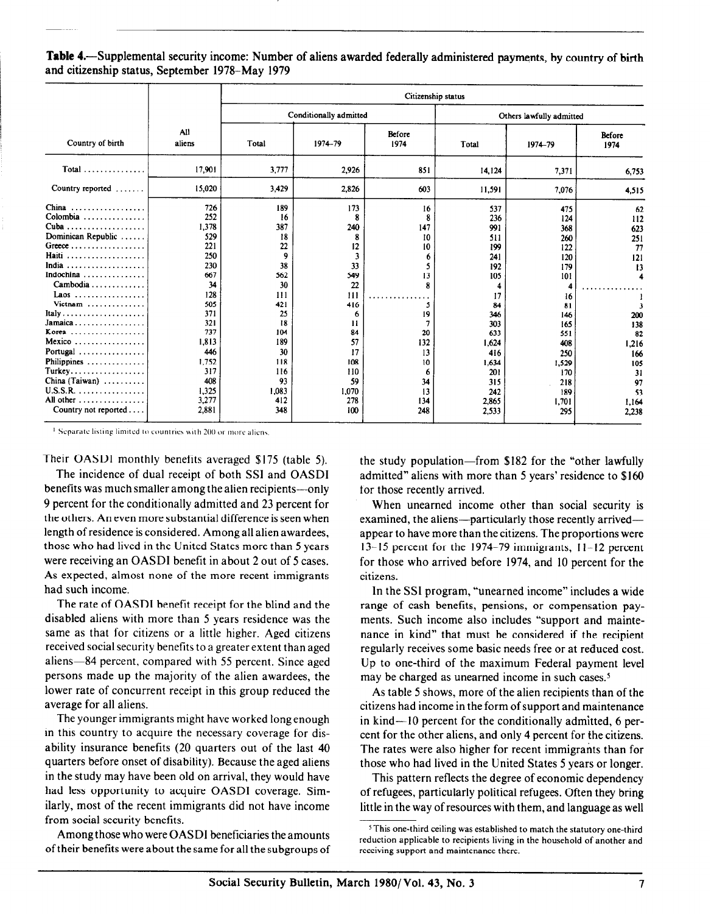Table 4.-Supplemental security income: Number of aliens awarded federally administered payments, by country of birth and citizenship status, September 1978-May 1979

|                                                                                                                                                                                                                                                                                                                                           |                                                                                                                                                 | Citizenship status                                                                                                              |                                                                                                                            |                                                                                                 |                                                                                                                                          |                                                                                                                                        |                                                                                                         |  |  |
|-------------------------------------------------------------------------------------------------------------------------------------------------------------------------------------------------------------------------------------------------------------------------------------------------------------------------------------------|-------------------------------------------------------------------------------------------------------------------------------------------------|---------------------------------------------------------------------------------------------------------------------------------|----------------------------------------------------------------------------------------------------------------------------|-------------------------------------------------------------------------------------------------|------------------------------------------------------------------------------------------------------------------------------------------|----------------------------------------------------------------------------------------------------------------------------------------|---------------------------------------------------------------------------------------------------------|--|--|
|                                                                                                                                                                                                                                                                                                                                           |                                                                                                                                                 |                                                                                                                                 | Conditionally admitted                                                                                                     |                                                                                                 |                                                                                                                                          | Others lawfully admitted                                                                                                               |                                                                                                         |  |  |
| Country of birth                                                                                                                                                                                                                                                                                                                          | All<br>aliens                                                                                                                                   | Total                                                                                                                           | 1974-79                                                                                                                    | Before<br>1974                                                                                  | Total                                                                                                                                    | 1974-79                                                                                                                                | Before<br>1974                                                                                          |  |  |
| Total                                                                                                                                                                                                                                                                                                                                     | 17,901                                                                                                                                          | 3,777                                                                                                                           | 2,926                                                                                                                      | 851                                                                                             | 14,124                                                                                                                                   | 7,371                                                                                                                                  | 6.753                                                                                                   |  |  |
| Country reported                                                                                                                                                                                                                                                                                                                          | 15.020                                                                                                                                          | 3,429                                                                                                                           | 2,826                                                                                                                      | 603                                                                                             | 11,591                                                                                                                                   | 7,076                                                                                                                                  | 4,515                                                                                                   |  |  |
| China<br>.<br>Colombia $\ldots \ldots \ldots \ldots$<br>Dominican Republic<br>Haiti<br>.<br>India<br>. <i>. .</i> .<br>Indochina<br>Laos<br>Vietnam<br>Italy<br>.<br>$Jamaica \ldots \ldots \ldots$<br>Korea<br>.<br>Mexico<br>. . <i>.</i> .<br>Portugal<br>Philippines<br>Turkey<br>China (Taiwan) $\ldots \ldots \ldots$<br>$U.S.S.R.$ | 726<br>252<br>1,378<br>529<br>221<br>250<br>230<br>667<br>34<br>128<br>505<br>371<br>321<br>737<br>1,813<br>446<br>1.752<br>317<br>408<br>1.325 | 189<br>16<br>387<br>18<br>22<br>9<br>38<br>562<br>30<br>111<br>421<br>25<br>18<br>104<br>189<br>30<br>118<br>116<br>93<br>1,083 | 173<br>8<br>240<br>8<br>12<br>3<br>33<br>549<br>22<br>111<br>416<br>6<br>11<br>84<br>57<br>17<br>108<br>110<br>59<br>1,070 | 16<br>8<br>147<br>10<br>10<br>6<br>13<br>5<br>19<br>7<br>20<br>132<br>13<br>10<br>6<br>34<br>13 | 537<br>236<br>991<br>511<br>199<br>241<br>192<br>105<br>4<br>17<br>84<br>346<br>303<br>633<br>1.624<br>416<br>1,634<br>201<br>315<br>242 | 475<br>124<br>368<br>260<br>122<br>120<br>179<br>101<br>4<br>16<br>81<br>146<br>165<br>551<br>408<br>250<br>1,529<br>170<br>218<br>189 | 62<br>112<br>623<br>251<br>77<br>121<br>13<br>200<br>138<br>82<br>1,216<br>166<br>105<br>31<br>97<br>53 |  |  |
| All other<br>Country not reported $\dots$                                                                                                                                                                                                                                                                                                 | 3,277<br>2,881                                                                                                                                  | 412<br>348                                                                                                                      | 278<br>100                                                                                                                 | 134<br>248                                                                                      | 2,865<br>2,533                                                                                                                           | 1,701<br>295                                                                                                                           | 1,164<br>2,238                                                                                          |  |  |

 $<sup>1</sup>$  Separate listing limited to countries with 200 or more aliens.</sup>

Their OASDI monthly benefits averaged \$175 (table 5).

The incidence of dual receipt of both SSI and OASDI benefits was much smaller among the alien recipients-only 9 percent for the conditionally admitted and 23 percent for the others. An even more substantial difference is seen when length of residence is considered. Among all alien awardees, those who had lived in the United States more than 5 years were receiving an OASDI benefit in about 2 out of 5 cases. As expected, almost none of the more recent immigrants had such income.

The rate of OASDI benefit receipt for the blind and the disabled aliens with more than 5 years residence was the same as that for citizens or a little higher. Aged citizens received social security benefits to a greater extent than aged aliens-84 percent, compared with 55 percent. Since aged persons made up the majority of the alien awardees, the lower rate of concurrent receipt in this group reduced the average for all aliens.

The younger immigrants might have worked long enough in this country to acquire the necessary coverage for disability insurance benefits (20 quarters out of the last 40 quarters before onset of disability). Because the aged aliens in the study may have been old on arrival, they would have had less opportunity to acquire OASDI coverage. Similarly, most of the recent immigrants did not have income from social security benefits.

Amongthose who were OASDI beneficiaries the amounts of their benefits were about the same for all the subgroups of the study population-from \$182 for the "other lawfully admitted" aliens with more than 5 years' residence to \$160 for those recently arrived.

When unearned income other than social security is examined, the aliens-particularly those recently arrivedappear to have more than the citizens. The proportions were I3- I5 percent for the 1974-79 immigrants, 1 l- I2 percent for those who arrived before 1974, and 10 percent for the citizens.

In the SSI program, "unearned income" includes a wide range of cash benefits, pensions, or compensation payments. Such income also includes "support and maintenance in kind" that must be considered if the recipient regularly receives some basic needs free or at reduced cost. Up to one-third of the maximum Federal payment level may be charged as unearned income in such cases.<sup>5</sup>

As table 5 shows, more of the alien recipients than of the citizens had income in the form of support and maintenance in kind—10 percent for the conditionally admitted, 6 percent for the other aliens, and only 4 percent for the citizens. The rates were also higher for recent immigrants than for those who had lived in the United States 5 years or longer.

This pattern reflects the degree of economic dependency of refugees, particularly political refugees. Often they bring little in the way of resources with them, and language as well

<sup>&</sup>lt;sup>5</sup>This one-third ceiling was established to match the statutory one-third reduction applicable to recipients living in the household of another and receiving support and maintenance there.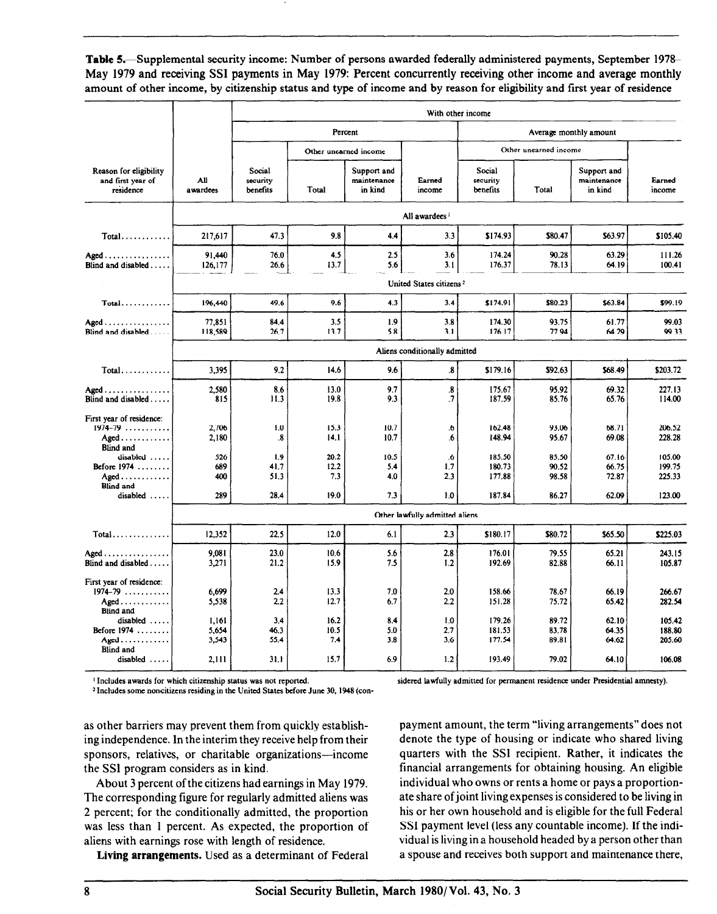Table 5.—Supplemental security income: Number of persons awarded federally administered payments, September 1978– May 1979 and receiving SSI payments in May 1979: Percent concurrently receiving other income and average monthly amount of other income, by citizenship status and type of income and by reason for eligibility and first year of residence

|                                                                                                 |                         | With other income              |                     |                                       |                                     |                                |                         |                                       |                            |
|-------------------------------------------------------------------------------------------------|-------------------------|--------------------------------|---------------------|---------------------------------------|-------------------------------------|--------------------------------|-------------------------|---------------------------------------|----------------------------|
|                                                                                                 |                         |                                |                     | Percent                               |                                     |                                |                         | Average monthly amount                |                            |
|                                                                                                 |                         |                                |                     | Other unearned income                 |                                     |                                | Other unearned income   |                                       |                            |
| Reason for eligibility<br>and first year of<br>residence                                        | AШ<br>awardees          | Social<br>security<br>benefits | Total               | Support and<br>maintenance<br>in kind | Earned<br>income                    | Social<br>security<br>benefits | Total                   | Support and<br>maintenance<br>in kind | Earned<br>income           |
|                                                                                                 |                         |                                |                     |                                       | All awardees <sup>1</sup>           |                                |                         |                                       |                            |
| $Total \ldots \ldots$                                                                           | 217,617                 | 47.3                           | 9.8                 | 4.4                                   | 3.3                                 | \$174.93                       | \$80.47                 | \$63.97                               | \$105.40                   |
| Aged<br>Blind and disabled $\ldots$ .                                                           | 91.440<br>126,177       | 76.0<br>26.6                   | 4.5<br>13.7         | 2.5<br>5.6                            | 3.6<br>3.1                          | 174.24<br>176.37               | 90.28<br>78.13          | 63.29<br>64.19                        | 111.26<br>100.41           |
|                                                                                                 |                         |                                |                     |                                       | United States citizens <sup>2</sup> |                                |                         |                                       |                            |
| $Total$                                                                                         | 196,440                 | 49,6                           | 9.6                 | 43                                    | 3,4                                 | \$174.91                       | \$80.23                 | \$63.84                               | \$99.19                    |
| Aged<br>Blind and disabled $\ldots$ .                                                           | 77,851<br>118,589       | 84.4<br>26,7                   | 3.5<br>13.7         | 1.9<br>5.8                            | 3.8<br>3.1                          | 174.30<br>176.17               | 93.75<br>77.94          | 61.77<br>64.29                        | 99.03<br>99.33             |
|                                                                                                 |                         |                                |                     |                                       | Aliens conditionally admitted       |                                |                         |                                       |                            |
| $Total \ldots \ldots$                                                                           | 3.395                   | 9.2                            | 14.6                | 9.6                                   | $\mathbf{3}$ .                      | \$179.16                       | \$92.63                 | \$68.49                               | \$203.72                   |
| Aged<br>Blind and disabled                                                                      | 2,580<br>815            | 8.6<br>11.3                    | 13.0<br>19.8        | 9.7<br>9.3                            | $\overline{\mathbf{8}}$<br>$\cdot$  | 175.67<br>187.59               | 95.92<br>85.76          | 69.32<br>65.76                        | 227.13<br>114.00           |
| First year of residence:<br>$1974 - 79$<br>$A \text{gcd} \dots \dots \dots$<br><b>Blind and</b> | 2,706<br>2,180          | 1.0<br>.8                      | 15.3<br>14.1        | 10.7<br>10.7                          | .6<br>.6                            | 162.48<br>148.94               | 93.06<br>95.67          | 68.71<br>69.08                        | 206.52<br>228.28           |
| disabled<br>Before $1974$<br>$A$ ged $\ldots \ldots \ldots$<br><b>Blind and</b>                 | 526<br>689<br>400       | 1.9<br>41.7<br>51.3            | 20.2<br>12.2<br>7.3 | 10.5<br>5.4<br>4.0                    | .6<br>1.7<br>2.3                    | 185.50<br>180.73<br>177.88     | 85.50<br>90.52<br>98.58 | 67.16<br>66.75<br>72.87               | 105.00<br>199.75<br>225.33 |
| disabled                                                                                        | 289                     | 28,4                           | 19.0                | 7.3                                   | 1,0                                 | 187.84                         | 86.27                   | 62.09                                 | 123.00                     |
|                                                                                                 |                         |                                |                     |                                       | Other lawfully admitted aliens      |                                |                         |                                       |                            |
| $Total \dots \dots \dots \dots$                                                                 | 12,352                  | 22.5                           | 12.0                | 6.1                                   | 2.3                                 | \$180.17                       | \$80.72                 | \$65.50                               | \$225.03                   |
| $A \text{gcd} \ldots \ldots \ldots \ldots$<br>Blind and disabled                                | 9,081<br>3,271          | 23.0<br>21.2                   | 10.6<br>15.9        | 5.6<br>7.5                            | 2.8<br>1.2                          | 176.01<br>192.69               | 79.55<br>82.88          | 65.21<br>66.11                        | 243.15<br>105.87           |
| First year of residence:<br>$1974 - 79$<br>$A$ ged<br><b>Blind and</b>                          | 6,699<br>5,538          | 2.4<br>2.2                     | 13.3<br>12.7        | 7.0<br>6,7                            | 2.0<br>2.2                          | 158.66<br>151.28               | 78.67<br>75.72          | 66.19<br>65.42                        | 266.67<br>282.54           |
| disabled<br>Before 1974<br>$A$ ged $\ldots$                                                     | 1,161<br>5,654<br>3,543 | 3.4<br>46.3<br>55.4            | 16.2<br>10.5<br>7.4 | 8.4<br>5.0<br>3.8                     | 1.0<br>2.7<br>3.6                   | 179.26<br>181.53<br>177.54     | 89.72<br>83.78<br>89.81 | 62.10<br>64.35<br>64.62               | 105.42<br>188.80<br>205.60 |
| <b>Blind and</b><br>disabled                                                                    | 2,111                   | 31.1                           | 15.7                | 6.9                                   | 1.2                                 | 193.49                         | 79.02                   | 64.10                                 | 106.08                     |

<sup>1</sup> Includes awards for which citizenship status was not reported.

<sup>2</sup> Includes some noncitizens residing in the United States before June 30, 1948 (con-

sidered lawfully admitted for permanent residence under Presidential amnesty).

as other barriers may prevent them from quickly establishing independence. In the interim they receive help from their sponsors, relatives, or charitable organizations-income the SSI program considers as in kind.

About 3 percent of the citizens had earnings in May 1979. The corresponding figure for regularly admitted aliens was 2 percent; for the conditionally admitted, the proportion  $\epsilon$  percent, for the conditionally admitted, the proportion was ress man a percent. Als expected, the proper aliens with earnings rose with length of residence.<br>Living arrangements. Used as a determinant of Federal

payment amount, the term "living arrangements"does not denote the type of housing or indicate who shared living quarters with the SSl recipient. Rather, it indicates the financial arrangements for obtaining housing. An eligible individual who owns or rents a home or pays a proportionate share of joint living expenses is considered to be living in his or her own household and is eligible for the full Federal  $\frac{1}{2}$  payment income  $\frac{1}{2}$  and  $\frac{1}{2}$  countable indicates and  $\frac{1}{2}$  for indicates and indicates and indicates and indicates and indicates and indicates and indicates and indicates and indicates and indicate vol payment iever those any countable medine). If the musvidual is living in a household headed by a person other than<br>a spouse and receives both support and maintenance there,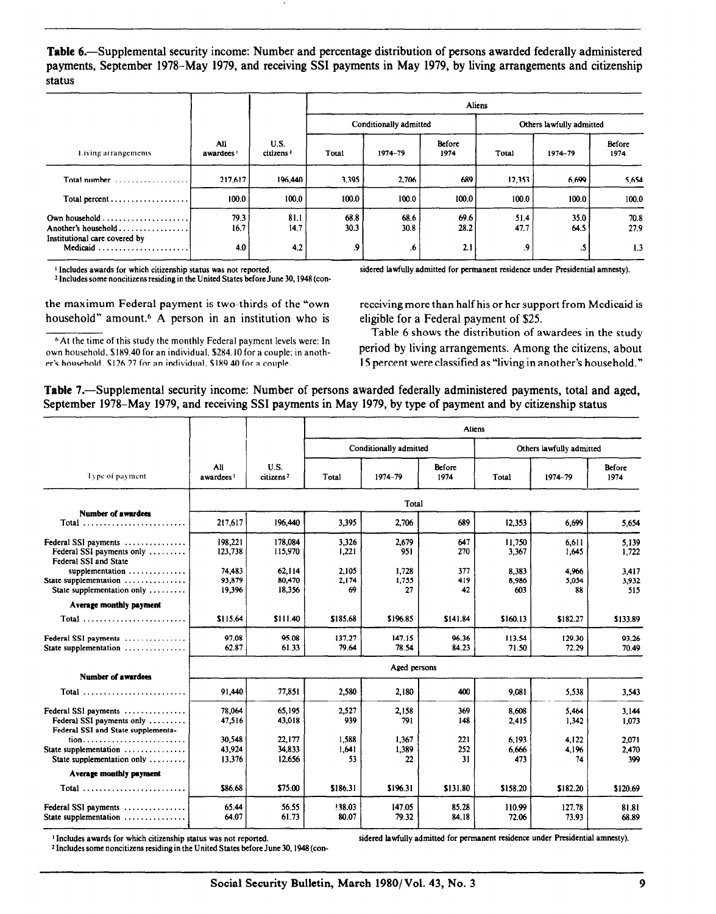Table 6.-Supplemental security income: Number and percentage distribution of persons awarded federally administered payments, September 1978–May 1979, and receiving SSI payments in May 1979, by living arrangements and citizenship status

|                              |                               | Aliens       |              |                |                          |              |                     |
|------------------------------|-------------------------------|--------------|--------------|----------------|--------------------------|--------------|---------------------|
|                              | U.S.<br>citizens <sup>2</sup> |              |              |                | Others lawfully admitted |              |                     |
| All<br>awardees <sup>1</sup> |                               | Total        | 1974-79      | Before<br>1974 | Total                    | 1974-79      | Before<br>1974      |
| 217.617                      | 196,440                       | 3,395        | 2.706        | 689            | 12,353                   | 6,699        | 5,654               |
| 100.0                        | 100.0                         | 100.0        | 100.0        | 100.0          | 100.0                    | 100.0        | 100.0               |
| 79.3<br>16.7                 | 81.1<br>14.7                  | 68.8<br>30.3 | 68.6<br>30.8 | 69.6<br>28.2   | 51.4<br>47.7             | 35.0<br>64.5 | 70.8<br>27.9<br>1.3 |
|                              | 4.0                           | 4.2          |              | .9<br>.6       | Conditionally admitted   |              | 2.1<br>9.<br>$.5\,$ |

<sup>2</sup> Includes some noncitizens residing in the United States before June 30, 1948 (con-

the maximum Federal payment is two-thirds of the "own household" amount.6 A person in an institution who is

6 At the time of this study the monthly Federal payment levels were: In own household. \$189.40 for an individual. \$284.10 for a couple; in anoth-

i Includes awards for which citizenship status was not reported. sidered lawfully admitted for permanent residence under Presidential amnesty).

receiving more than half his or her support from Medicaid is eligible for a Federal payment of \$25.

Table 6 shows the distribution of awardees in the study period by living arrangements. Among the citizens, about er's household. \$126.27 for an individual. \$189.40 for a couple. 15 percent were classified as "living in another's household."

Table 7.—Supplemental security income: Number of persons awarded federally administered payments, total and aged, September 1978-May 1979, and receiving SSI payments in May 1979, by type of payment and by citizenship status

|                                                                                                    |                              |                               | <b>Aliens</b>        |                        |                  |                       |                          |                       |  |
|----------------------------------------------------------------------------------------------------|------------------------------|-------------------------------|----------------------|------------------------|------------------|-----------------------|--------------------------|-----------------------|--|
|                                                                                                    |                              |                               |                      | Conditionally admitted |                  |                       | Others lawfully admitted |                       |  |
| Type of payment                                                                                    | All<br>awardees <sup>1</sup> | U.S.<br>citizens <sup>2</sup> | Total                | 1974-79                | Before<br>1974   | Total                 | 1974-79                  | Before<br>1974        |  |
|                                                                                                    |                              |                               |                      | Total                  |                  |                       |                          |                       |  |
| Number of awardees<br>Total                                                                        | 217,617                      | 196,440                       | 3,395                | 2,706                  | 689              | 12,353                | 6.699                    | 5,654                 |  |
| Federal SSI payments<br>Federal SSI payments only<br>Federal SSI and State                         | 198,221<br>123,738           | 178,084<br>115,970            | 3,326<br>1,221       | 2,679<br>951           | 647<br>270       | 11,750<br>3,367       | 6,611<br>1,645           | 5.139<br>1,722        |  |
| supplementation $\dots\dots\dots\dots\dots$<br>State supplementation<br>State supplementation only | 74.483<br>93.879<br>19,396   | 62.114<br>80,470<br>18,356    | 2.105<br>2.174<br>69 | 1,728<br>1.755<br>27   | 377<br>419<br>42 | 8,383<br>8,986<br>603 | 4.966<br>5.054<br>88     | 3.417<br>3,932<br>515 |  |
| Average monthly payment                                                                            |                              |                               |                      |                        |                  |                       |                          |                       |  |
| Total                                                                                              | \$115.64                     | \$111.40                      | \$185.68             | \$196.85               | \$141.84         | \$160.13              | \$182.27                 | \$133.89              |  |
| Federal SSI payments<br>State supplementation                                                      | 97.08<br>62.87               | 95 OR<br>61.33                | 137.27<br>79.64      | 147.15<br>78.54        | 96.36<br>84.23   | 113.54<br>71.50       | 129.30<br>72.29          | 93.26<br>70.49        |  |
|                                                                                                    |                              |                               |                      | Aged persons           |                  |                       |                          |                       |  |
| Number of awardees<br>Total                                                                        | 91,440                       | 77,851                        | 2,580                | 2,180                  | 400              | 9.081                 | 5.538                    | 3.543                 |  |
| Federal SSI payments<br>Federal SSI payments only<br>Federal SSI and State supplementa-            | 78.064<br>47,516             | 65.195<br>43,018              | 2.527<br>939         | 2,158<br>791           | 369<br>148       | 8.608<br>2.415        | 5.464<br>1,342           | 3.144<br>1.073        |  |
| tion<br>State supplementation $\dots\dots\dots\dots$<br>State supplementation only                 | 30.548<br>43,924<br>13.376   | 22.177<br>34,833<br>12.656    | 1.588<br>1.641<br>53 | 1,367<br>1,389<br>22   | 221<br>252<br>31 | 6.193<br>6,666<br>473 | 4,122<br>4,196<br>74     | 2,071<br>2.470<br>399 |  |
| Average monthly payment                                                                            |                              |                               |                      |                        |                  |                       |                          |                       |  |
| Total                                                                                              | \$86.68                      | \$75.00                       | \$186.31             | \$196.31               | \$131.80         | \$158.20              | \$182.20                 | \$120.69              |  |
| Federal SSI payments<br>State supplementation                                                      | 65.44<br>64.07               | 56.55<br>61.73                | !38.03<br>80.07      | 147.05<br>79.32        | 85.28<br>84.18   | 110.99<br>72.06       | 127.78<br>73.93          | 81.81<br>68.89        |  |

<sup>1</sup> Includes awards for which citizenship status was not reported.<br><sup>2</sup> Includes some noncitizens residing in the United States before June 30, 1948 (con-

sidered lawfully admitted for permanent residence under Presidential amnesty).